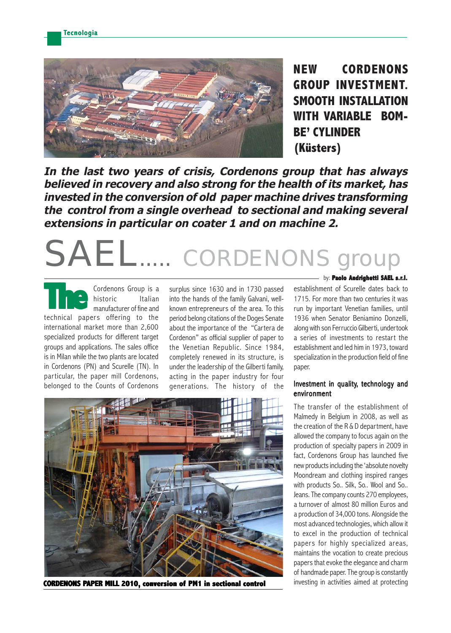

**NEW CORDENONS GROUP INVESTMENT. SMOOTH INSTALLATION WITH VARIABLE BOM-BE' CYLINDER (Küsters)**

**In the last two years of crisis, Cordenons group that has always believed in recovery and also strong for the health of its market, has invested in the conversion of old paper machine drives transforming the control from a single overhead to sectional and making several extensions in particular on coater 1 and on machine 2.**

# SAEL.... CORDENONS

Cordenons Group is a historic Italian manufacturer of fine and **There** is a historic computed its manufacturer of fine and technical papers offering to the international market more than 2,600 specialized products for different target groups and applications. The sales office is in Milan while the two plants are located in Cordenons (PN) and Scurelle (TN). In particular, the paper mill Cordenons, belonged to the Counts of Cordenons

surplus since 1630 and in 1730 passed into the hands of the family Galvani, wellknown entrepreneurs of the area. To this period belong citations of the Doges Senate about the importance of the "Cartera de Cordenon" as official supplier of paper to the Venetian Republic. Since 1984, completely renewed in its structure, is under the leadership of the Gilberti family, acting in the paper industry for four generations. The history of the



CORDENONS PAPER MILL 2010, conversion of PM1 in sectional control **investing in activities aimed at protecting** 

#### by: **Paolo Andrighetti SAEL s rl**

establishment of Scurelle dates back to 1715. For more than two centuries it was run by important Venetian families, until 1936 when Senator Beniamino Donzelli, along with son Ferruccio Gilberti, undertook a series of investments to restart the establishment and led him in 1973, toward specialization in the production field of fine paper.

### Investment in quality, technology and environment

The transfer of the establishment of Malmedy in Belgium in 2008, as well as the creation of the R & D department, have allowed the company to focus again on the production of specialty papers in 2009 in fact, Cordenons Group has launched five new products including the 'absolute novelty Moondream and clothing inspired ranges with products So.. Silk, So.. Wool and So.. Jeans. The company counts 270 employees, a turnover of almost 80 million Euros and a production of 34,000 tons. Alongside the most advanced technologies, which allow it to excel in the production of technical papers for highly specialized areas, maintains the vocation to create precious papers that evoke the elegance and charm of handmade paper. The group is constantly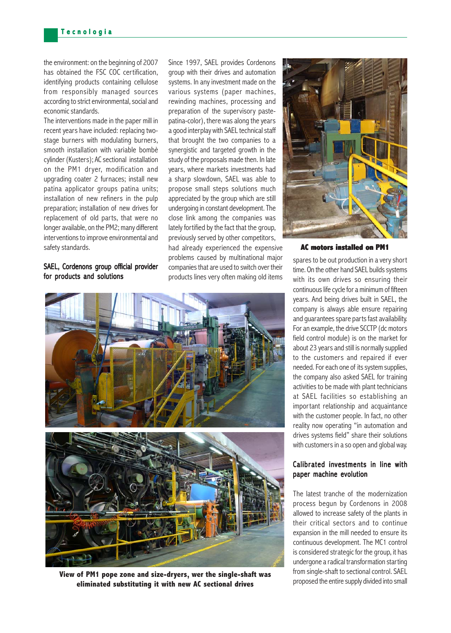the environment: on the beginning of 2007 has obtained the FSC COC certification, identifying products containing cellulose from responsibly managed sources according to strict environmental, social and economic standards.

The interventions made in the paper mill in recent years have included: replacing twostage burners with modulating burners, smooth installation with variable bombè cylinder (Kusters); AC sectional installation on the PM1 dryer, modification and upgrading coater 2 furnaces; install new patina applicator groups patina units; installation of new refiners in the pulp preparation; installation of new drives for replacement of old parts, that were no longer available, on the PM2; many different interventions to improve environmental and safety standards.

## SAEL, Cordenons group official provider for products and solutions

had already experienced the expensive Since 1997, SAEL provides Cordenons group with their drives and automation systems. In any investment made on the various systems (paper machines, rewinding machines, processing and preparation of the supervisory pastepatina-color), there was along the years a good interplay with SAEL technical staff that brought the two companies to a synergistic and targeted growth in the study of the proposals made then. In late years, where markets investments had a sharp slowdown, SAEL was able to propose small steps solutions much appreciated by the group which are still undergoing in constant development. The close link among the companies was lately fortified by the fact that the group, previously served by other competitors,

problems caused by multinational major companies that are used to switch over their products lines very often making old items



**View of PM1 pope zone and size-dryers, wer the single-shaft was**<br>proposed the entire supply divided into small<br>proposed the entire supply divided into small **eliminated substituting it with new AC sectional drives**



#### **AC motor C motors installed on PM1**

spares to be out production in a very short time. On the other hand SAEL builds systems with its own drives so ensuring their continuous life cycle for a minimum of fifteen years. And being drives built in SAEL, the company is always able ensure repairing and guarantees spare parts fast availability. For an example, the drive SCCTP (dc motors field control module) is on the market for about 23 years and still is normally supplied to the customers and repaired if ever needed. For each one of its system supplies, the company also asked SAEL for training activities to be made with plant technicians at SAEL facilities so establishing an important relationship and acquaintance with the customer people. In fact, no other reality now operating "in automation and drives systems field" share their solutions with customers in a so open and global way.

## Calibrated investments in line with paper machine evolution

The latest tranche of the modernization process begun by Cordenons in 2008 allowed to increase safety of the plants in their critical sectors and to continue expansion in the mill needed to ensure its continuous development. The MC1 control is considered strategic for the group, it has undergone a radical transformation starting from single-shaft to sectional control. SAEL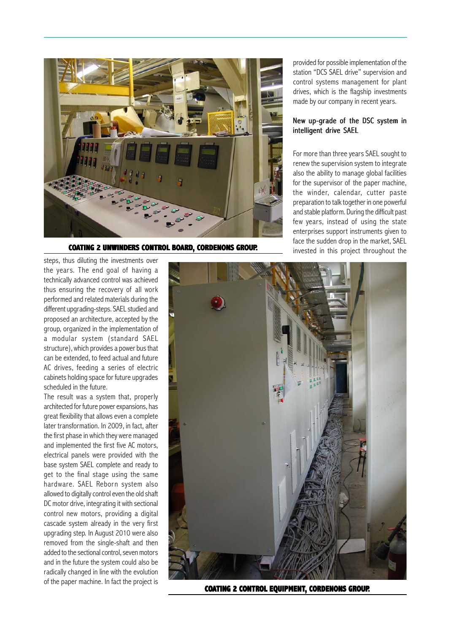

**COATING 2 UNWINDERS CONTROL BOARD, CORDENONS GROUP.** Invested in this project throughout the

provided for possible implementation of the station "DCS SAEL drive" supervision and control systems management for plant drives, which is the flagship investments made by our company in recent years.

## New up-grade of the DSC system in intelligent drive SAEL

For more than three years SAEL sought to renew the supervision system to integrate also the ability to manage global facilities for the supervisor of the paper machine, the winder, calendar, cutter paste preparation to talk together in one powerful and stable platform. During the difficult past few years, instead of using the state enterprises support instruments given to face the sudden drop in the market, SAEL



**COATING 2 CONTROL EQUIPMENT, CORDENONS GROUP.**

steps, thus diluting the investments over the years. The end goal of having a technically advanced control was achieved thus ensuring the recovery of all work performed and related materials during the different upgrading-steps. SAEL studied and proposed an architecture, accepted by the group, organized in the implementation of a modular system (standard SAEL structure), which provides a power bus that can be extended, to feed actual and future AC drives, feeding a series of electric cabinets holding space for future upgrades scheduled in the future.

The result was a system that, properly architected for future power expansions, has great flexibility that allows even a complete later transformation. In 2009, in fact, after the first phase in which they were managed and implemented the first five AC motors, electrical panels were provided with the base system SAEL complete and ready to get to the final stage using the same hardware. SAEL Reborn system also allowed to digitally control even the old shaft DC motor drive, integrating it with sectional control new motors, providing a digital cascade system already in the very first upgrading step. In August 2010 were also removed from the single-shaft and then added to the sectional control, seven motors and in the future the system could also be radically changed in line with the evolution of the paper machine. In fact the project is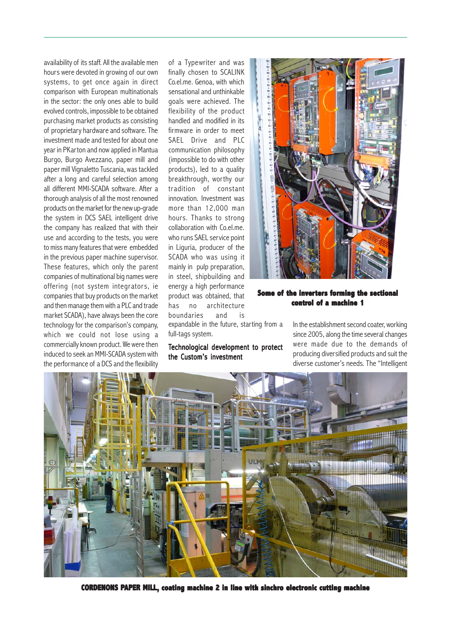availability of its staff. All the available men hours were devoted in growing of our own systems, to get once again in direct comparison with European multinationals in the sector: the only ones able to build evolved controls, impossible to be obtained purchasing market products as consisting of proprietary hardware and software. The investment made and tested for about one year in PKarton and now applied in Mantua Burgo, Burgo Avezzano, paper mill and paper mill Vignaletto Tuscania, was tackled after a long and careful selection among all different MMI-SCADA software. After a thorough analysis of all the most renowned products on the market for the new up-grade the system in DCS SAEL intelligent drive the company has realized that with their use and according to the tests, you were to miss many features that were embedded in the previous paper machine supervisor. These features, which only the parent companies of multinational big names were offering (not system integrators, ie companies that buy products on the market and then manage them with a PLC and trade market SCADA), have always been the core technology for the comparison's company, which we could not lose using a commercially known product. We were then induced to seek an MMI-SCADA system with the performance of a DCS and the flexibility

of a Typewriter and was finally chosen to SCALINK Co.el.me. Genoa, with which sensational and unthinkable goals were achieved. The flexibility of the product handled and modified in its firmware in order to meet SAEL Drive and PLC communication philosophy (impossible to do with other products), led to a quality breakthrough, worthy our tradition of constant innovation. Investment was more than 12,000 man hours. Thanks to strong collaboration with Co.el.me. who runs SAEL service point in Liguria, producer of the SCADA who was using it mainly in pulp preparation, in steel, shipbuilding and energy a high performance product was obtained, that has no architecture boundaries and is



## **Some of Some of the inverters forming the sectional ming sectional control of a machine 1**

expandable in the future, starting from a full-tags system.

## Technological development to protect the Custom's investment

In the establishment second coater, working since 2005, along the time several changes were made due to the demands of producing diversified products and suit the diverse customer's needs. The "Intelligent



**CORDENONS PAPER MILL, coating machine 2 in line with sinchro electronic cutting machine**